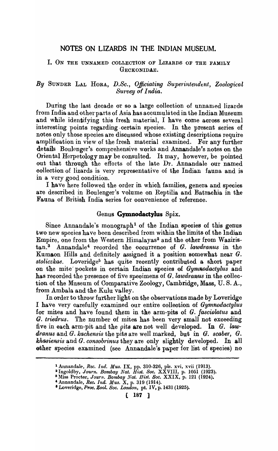# NOTES ON LIZARDS IN THE INDIAN MUSEUM.

## I. ON THE UNNAMED COLLECTION OF LIZARDS OF THE FAMILY GECKONIDAE.

# By SUNDER LAL HORA, D.Sc., Officiating Superintendent, Zoological Survey of *India*.

During the last decade or so a large collection of unnamed lizards from India. and other parts of Asia has accumulated in the Indian Museum and while identifying this fresh material, I have come across several interesting points regarding certain species. In the present series of notes only those species are disoussed whose existing desoriptions require amplifioation in view of the fresh material examined. For any further details Boulenger's comprehensive works and Annandale's notes on the Oriental Herpetology may be consulted. It may, however, be pointed out that through the efforts of the late Dr. Annandale our named oollection of lizards is very representative of the Indian fauna and is in a very good oondition.

I have here followed the order in which families, genera and speoies are desoribed in Boulenger's volume on Reptilia and Batraohia in the Fauna of British India series for convenience of reference.

#### Genus Gymnodactylus Spix.

Since Annandale's monograph<sup>1</sup> of the Indian species of this genus two new species have been described from within the limits of the Indian Empire, one from the Western Himalayas<sup>2</sup> and the other from Waziristan.<sup>3</sup> Annandale<sup>4</sup> recorded the occurrence of *G. lawdranus* in the Kumaon Hills and definitely assigned it a position somewhat near  $G$ . *stoliezkae.* Loveridge6 has quite reoently oontributed a short paper on the mite pookets in certain Indian species of *Gymnodactylus* and has recorded the presence of five specimens of G. *lawdranus* in the collection of the Museum of Comparative Zoology, Cambridge, Mass, U. S. A., from Ambala and the Kulu valley.

In order to throw further light on the observations made by Loveridge I have very oarefully examined our entire oolleotion of *Gymnodactylus*  for mites and have found them in the arm-pits of *G. fasciolatus* and G. *triedrus.* The number of mites has been very small not exceeding five in each arm-pit and the pits are not well developed. In  $G$ . law*dranus* and *G. kaehensis* the pits are well marked, hut in *G. seaber., G. khasiensis* and *G. consobrinus* they are only slightly developed. In all ether species examined (see Annandale's paper for list of species) no

<sup>1</sup>Annandale, *Rec. Ind. Mus.* IX, pp. 310-326, pIs. xvi, xvii (1913).

<sup>~</sup>Ingoldby, *Journ. Bombay Nat. Hist. Soc.* XXVIII, p. 1051 (1923).

<sup>&</sup>lt;sup>3</sup> Miss Procter, *Journ. Bombay Nat. Hist. Soc.* XXIX, p. 121 (1924).

<sup>&#</sup>x27;Annandale, *Ree. Ind. Mus.* X, p. 319 (1914).

<sup>•</sup> Loveridge, *Proc. Zool. Soc. London,* pt. IV, p.1431 (1925).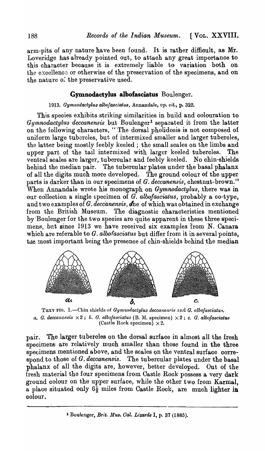arm-pits of any nature have been found. It is rather difficult, as Mr. Loveridge has already pointed out, to attaoh any great importanoe to this character because it is extremely liable to variation both on the excellence or otherwise of the preservation of the specimens, and on the nature of the preservative used.

# **Gymnodactylus albofasciatus** Boulenger.

### *1913. Gymnodactylus alboJasciatus,* Annandale, *Opt cit.,* p. 322.

This species exhibits striking similarities in build and colouration to *Gymnodactylus deccanensis* but Boulenger<sup>1</sup> separated it from the latter on the following oharacters, " The dorsal pholidosis is not oomposed of uniform large tubercles, but of intermixed smaller and larger tubercles, the latter being mostly feebly keeled; the small scales on the limbs and upper part of the tail intermixed with larger keeled tuberoles. The ventral scales are larger, tubercular and feebly keeled. No ohin-shields' behind the median pair. 'fhe tubercular plates under the basal phalanx of all the digits much more developed. The ground colour of the upper parts is darker than in our speoimens of *G. deccanensis,* chestnut-brown." When Annandale wrote his monograph on *Gymnodactylus,* there was in our collection a single specimen of  $\tilde{G}$ . albofasciatus, probably a co-type, and two examples of *G, deccanensis*, one of which was obtained in exchange from the British Museum. The diagnostic characteristics mentioned by'Boulenger for the two speoies are quite apparent in these three speoimens, but since 1913 we have received six examples from N. Canara which are referable to *G. albofasciatus* but differ from it in several points, the most important being the presence of chin-shields behind the median



TEXT FIG. 1.--Chin shields of *Gymnodactylus deccanensis* and *G. albofasciatus. a. G. deccanensis*  $\times 2$ ; *b. G. albofasciatus* (B. M. specimen)  $\times 2$ ; *c. G. albofasciatus* (Castle Rock specimen)  $\times 2$ .

pair. The larger tuberoles on the dorsal surfaoe in almost all the fresh specimens are relatively much smaller than those found in the three specimens mentioned above, and the scales on the ventral surface correspond to those of *G. deccanensis.* The tuberoular plates under the basal phalanx of all the digits are, however, better developed. Out of the fresh material the four specimens from Castle Rock possess a very dark ground colour on the upper surface, while the other two from Karmal, a place situated only  $6\frac{1}{2}$  miles from Castle Rock, are much lighter in oolour.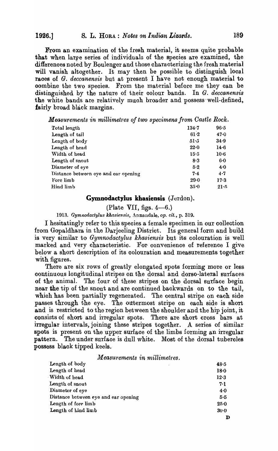From an examination of the fresh material, it seems quite probable that when large series of individuals of the species are examined, the differenoes noted by Boulenger and those oharaoterizing the fresh material will vanish altogether. It may then be possible to distinguish local races of *G. deccanensis* but at present I have not enough material to oombine the two speoies. From the material before me they oan be distinguished by the nature of their oolour bands. In *G. deccanensis*  the white bands are relatively much broader and possess well-defined, fairly broad black margins.

*Measurements in millimetres of two specimens from Castle Rock.* 

| 134.7    | 96.5    |
|----------|---------|
| 61.2     | 47.0    |
| 51.5     | 34.9    |
| 22.0     | 14.6    |
| 15.5     | $10-6$  |
| 8.3      | $6-0$   |
| 5.2      | 4.0     |
| $7 - 4$  | $4 - 7$ |
| $29 - 0$ | 17.3    |
| $35 - 0$ | 21.5    |
|          |         |

#### Gymnodactylus khasiensis (Jerdon).

(Plate VII, figs.  $4-6$ .)

1913. Gymnodactylus khasiensis, Annandale, op. *cit.*, p. 319.

I hesitatingly refer to this species a female specimen in our collection from Gopaldhara in the Darjeeling District. Its general form and build is very similar to *Gymnodactylus khasiensis* but its oolouration is well marked and very characteristic. For convenience of reference I give below a short desoription of its colouration and measurements together with figures.

There are six rows of greatly elongated spots forming more or less oontinuous longitudinal stripes on the dorsal and dorso-lateral surfaces of the animal. The four of these stripes on the dorsal surface begin near the tip of the snout and are continued backwards on to the tail, which has been partially regenerated. The central stripe on each side passes through the eye. The outermost stripe on eaoh side is short and is restricted to the region between the shoulder and the hip joint, it consists of. short and irregular spots. There are short cross bars at irregular intervals, joining these stripes together. A series of similar spots is present on the upper surface of the limbs forming an irregular pattern. The under surface is dull white. Most of the dorsal tubercles possess blaok tipped keels .

 $Measurements$  *in millimetres.* 

| Length of body                       | 48.5            |
|--------------------------------------|-----------------|
| Length of head                       | 18 <sub>0</sub> |
| Width of head                        | 12.3            |
| Length of snout                      | 7.1             |
| Diameter of eye                      | 4.0             |
| Distance between eye and ear opening | 5.5             |
| Length of fore limb                  | $25 - 0$        |
| Length of hind limb                  | $30-0$          |
|                                      |                 |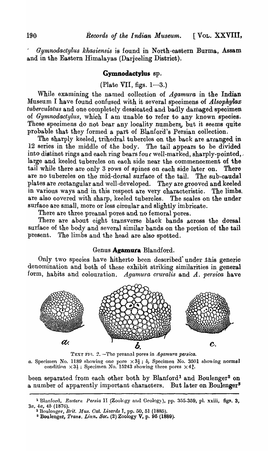*Gymnodactylus kkasiensis* is found in North-eastern Burma, Assam and in the Eastern Himalayas (Darjeeling District).

#### **Gymnodactylus** ap.

(Plate VII, figs.  $1-3$ .)

While examining the named collection of *Agamura* in the Indian Museum I have found oonfused with it several speoimens of *Alsopkylax tuberculatus* and one completely dessicated and badly damaged specimen of *Gymnodactylus,* whioh I am unable to refer to any known species. These specimens do not bear any locality numbers, but it seems quite probable that they formed a part of Blanford's Persian collection.

The sharply keeled, trihedral tubercles on the back are arranged in 12 series in the middle of the body. The tail appears to be divided into distinct rings and each ring bears four well-marked, sharply-pointed, large and keeled tubercles on each side near the commencement of the tail while there are only 3 rows of spines on eaoh side later on. There are no tuberoles on the mid-dorsal surface of the tail. The sub-caudal plates are reotangular and well-developed. They are grooved and keeled in various ways and in this respect are very oharacteristic. The limbs. are also oovered with sharp, keeled tuberoles. The scales on the under surfaoe are small, more or less oiroular and slightly imbrioate.

There are three preanal pores and no femoral pores.

There are about eight transverse black bands across the dorsal surface of the body and several similar bands on the portion of the tail present. The limbs and the head are also spotted.

### Genus **Agamura** Blandford.

Only two species have hitherto been described under this generic denomination and both of these exhibit striking similarities in general form, habits and colouration. *Agamura cruralis* and A. persica have



TEXT FI<sub>1</sub>. 2. -The preanal pores in *Agamura persica*.

*a.* Specimen No. 1189 showing one pore  $\times 3\frac{1}{2}$ ; *b*, Specimen No. 3501 showing normal condition  $\times 3\frac{1}{2}$ ; Specimen No. 15243 showing three pores  $\times 4\frac{3}{2}$ .

been separated from each other both by Blanford<sup>1</sup> and Boulenger<sup>2</sup> on a number of apparently important characters. But later on Boulenger<sup>3</sup>

<sup>&</sup>lt;sup>1</sup> Blanford, *Eastern Persia* II (Zoology and Geology), pp. 355-359, pl. xxiii, figs. 3, *3a, 4a, 4b* (1876). .

<sup>&</sup>lt;sup>2</sup> Boulonger, Brit. Mus. Cat. Lizards I, pp. 50, 51 (1885).

<sup>3</sup> Boulenger, *Tran8. Ll:nn. Soc.* (2) Zoology V, p. 95 (1889).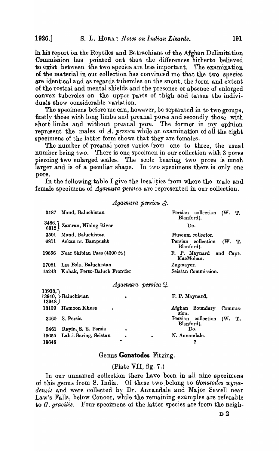in his report on the Reptiles and Ba trachians of the Afghan Delimita tion Commission has pointed out that the differences hitherto believed to exist between the two species are less important. The examination of the material in our collection has convinced me that the two species are identical and as regards tubercles on the snout, the form and extent of the rostral and mental shields and the presence or absence of enlarged convex tubercles on the upper parts of thigh and tarsus the individuals show considerable variation.

The specimens before me can, however, be separated in to two groups, firstly those with long limbs and preanal pores and secondly those with short limbs and without preanal pore. The former in my opinion represent the males of A. *persica* while an examination of all the eight specimens of the latter form shows that they are females.

The number of preanal pores varies from one to three, the usual number being two. There is one specimen in our collection with 3 pores piercing two enlarged scales. The scale bearing two pores is much larger and is of a peculiar shape. In two specimens there is only one pore.

In the following table I give the localities from where the male and female specimens of *Agamura persa* are represented in our collection.

Agamura persica  $\mathcal{F}$ .

| 3487 | Mand, Baluchistan                                                                | Persian collection (W. T.<br>Blanford).    |  |
|------|----------------------------------------------------------------------------------|--------------------------------------------|--|
|      | $\left\{\begin{array}{c} 3486, \\ 6812 \end{array}\right\}$ Zamran, Nibing River | Do.                                        |  |
| 3501 | Mand, Baluchistan                                                                | Museum collector.                          |  |
| 6811 | Askan nr. Bampusht                                                               | Persian collection<br>(W. T.<br>Blanford). |  |
|      | 19656 Near Shibian Pass (4000 ft.)                                               | F. P. Maynard and Capt.<br>MacMohan.       |  |
|      | 17081 Las Bela, Baluchistan                                                      | Zugmayer.                                  |  |
|      | 15243 Kohak, Perso-Baluch Frontier                                               | Seistan Commission.                        |  |
|      | <i>Anneversion momenton</i> O                                                    |                                            |  |

#### *Agamura persica*  $\varphi$ .

| 13938,<br>13948 | 13940, Baluchistan        | ٠         |   | F. P. Maynard. |                    |         |  |
|-----------------|---------------------------|-----------|---|----------------|--------------------|---------|--|
| 13109           | Hamoon Khusa<br>$\bullet$ |           |   | sion.          | Afghan Boundary    | Commis- |  |
| 3460            | S. Persia                 |           |   | Blanford).     | Persian collection | (W, T)  |  |
| 3461            | Rayin, S. E. Persia       | $\bullet$ |   |                | Do.                |         |  |
| 19655           | Lab-i-Baring, Seistan     | $\bullet$ | ٠ | N. Annandale.  |                    |         |  |
| 19648           |                           | ۰         |   |                |                    |         |  |

#### Genus **Gonatodes** Fitzing.

#### (Plate VII, fig. 7.)

In our unnamed collection there have been in all nine specimens of this genus from S. India. Of these two ,belong to *Gonatodcs wyna*densis and were collected by Dr. Annandale and Major Sewell near Law's Falls, below Conoor, while the remaining examples are referable to *G. gracilis.* Four specimens of the latter species are from the neigh-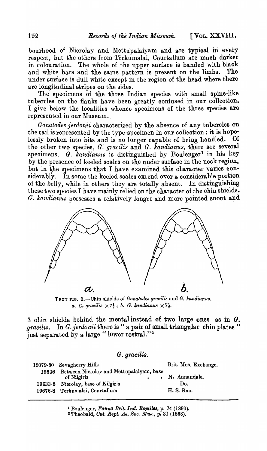bourhood of Nierolay and Mettupalaiyam and are typical in every respect, but the others from Terkumalai, Courtallum are much darker in colouration. The whole of the upper surface is banded with blaok and white bars and the same pattern is present on the limbs. The under surface is dull white except in the region of the head where there are longitudinal stripes on the sides.

The specimens of the three Indian species with small spine-like tubercles on the flanks have been greatly confused in our collection. I give below the localities whenoe speoimens of the three speoies are represented in our Museum.

*Gonatodes jerdonii* charaoterized by the absence of any tubercles on the tail is represented by the type-specimen in our collection; it is hope-<br>lessly broken into hits and is no longer canable of being handled. Of lessly broken into bits and is no longer capable of being handled. the other two species, *G. gracilis* and *G. kandianus*, there are several specimens. G. *kandianus* is distinguished by Boulenger<sup>1</sup> in his key by the presence of keeled scales on the under surface in the neck region, but in the specimens that I have examined this character varies considerablY. In some the keeled soales extend over a considerable portion of the belly., while in others they are totally absent. In distinguishing these two species I have mainly relied on the character of the chin shielde. G. *kandianus* possesses a relatively longer and more pointed snout and



TEXT FIG. 3.-Chin shields of *Gonatodes gracilis* and *G. kandianus*. *a. G. gracilis*  $\times 7\frac{1}{2}$ ; *b. G. kandianus*  $\times 7\frac{1}{2}$ .

3 chin shields behind the mental instead of two large ones as in G. *gracilis.* In *G.}erdonii* there is " a pair of small triangular chin plates " just separated by a large " lower rostral."<sup>2</sup>

G. *gracilis.* 

|       | 15079-80 Sevagherry Hills                               | Brit. Mus. Exchange. |
|-------|---------------------------------------------------------|----------------------|
| 19636 | Between Nierolay and Mettupalaiyam, base<br>of Nilgiris | . N. Annandale.      |
|       | 19633-5 Nierolay, base of Nilgiris                      | Do.                  |
|       | 19676-8 Terkumalai, Courtallum                          | H. S. Rao.           |

<sup>&</sup>lt;sup>1</sup> Boulenger, *Fauna Brit. Ind. Reptiles*, p. 74 (1890).

<sup>&</sup>lt;sup>2</sup> Theobald, Cat. Rept. As. Soc. Mus., p. 31 (1868).